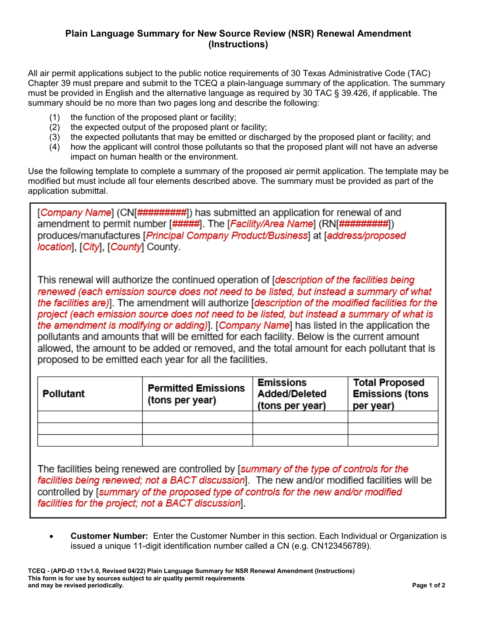## **Plain Language Summary for New Source Review (NSR) Renewal Amendment (Instructions)**

All air permit applications subject to the public notice requirements of 30 Texas Administrative Code (TAC) Chapter 39 must prepare and submit to the TCEQ a plain-language summary of the application. The summary must be provided in English and the alternative language as required by 30 TAC § 39.426, if applicable. The summary should be no more than two pages long and describe the following:

- (1) the function of the proposed plant or facility;
- (2) the expected output of the proposed plant or facility;
- (3) the expected pollutants that may be emitted or discharged by the proposed plant or facility; and
- (4) how the applicant will control those pollutants so that the proposed plant will not have an adverse impact on human health or the environment.

Use the following template to complete a summary of the proposed air permit application. The template may be modified but must include all four elements described above. The summary must be provided as part of the application submittal.

[Company Name] (CN[#########]) has submitted an application for renewal of and amendment to permit number [#####]. The [*Facility/Area Name*] (RN[#########]) produces/manufactures [Principal Company Product/Business] at [address/proposed location], [City], [County] County.

This renewal will authorize the continued operation of [description of the facilities being renewed (each emission source does not need to be listed, but instead a summary of what the facilities are)]. The amendment will authorize [description of the modified facilities for the project (each emission source does not need to be listed, but instead a summary of what is the amendment is modifying or adding). [Company Name] has listed in the application the pollutants and amounts that will be emitted for each facility. Below is the current amount allowed, the amount to be added or removed, and the total amount for each pollutant that is proposed to be emitted each year for all the facilities.

| <b>Pollutant</b> | <b>Permitted Emissions</b><br>(tons per year) | <b>Emissions</b><br><b>Added/Deleted</b><br>(tons per year) | <b>Total Proposed</b><br><b>Emissions (tons</b><br>per year) |
|------------------|-----------------------------------------------|-------------------------------------------------------------|--------------------------------------------------------------|
|                  |                                               |                                                             |                                                              |
|                  |                                               |                                                             |                                                              |
|                  |                                               |                                                             |                                                              |

The facilities being renewed are controlled by [summary of the type of controls for the facilities being renewed; not a BACT discussion]. The new and/or modified facilities will be controlled by [summary of the proposed type of controls for the new and/or modified facilities for the project; not a BACT discussion].

• **Customer Number:** Enter the Customer Number in this section. Each Individual or Organization is issued a unique 11-digit identification number called a CN (e.g. CN123456789).